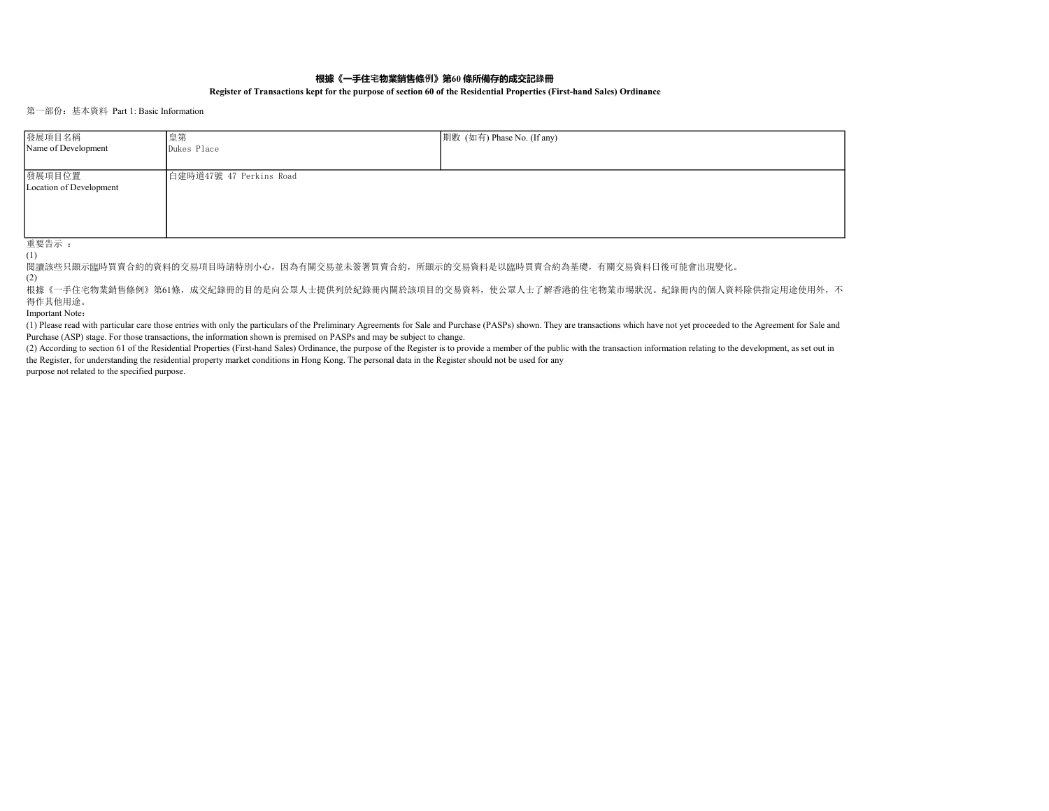## 根據《一手住宅物業銷售條例》第60 條所備存的成交記錄冊

## Register of Transactions kept for the purpose of section 60 of the Residential Properties (First-hand Sales) Ordinance

## 第一部份:基本資料 Part 1: Basic Information

| 發展項目名稱                            | 皇第                      | 期數 (如有) Phase No. (If any) |
|-----------------------------------|-------------------------|----------------------------|
| Name of Development               | Dukes Place             |                            |
|                                   |                         |                            |
| 發展項目位置<br>Location of Development | 白建時道47號 47 Perkins Road |                            |

重要告示 : (1)

閱讀該些只顯示臨時買賣合約的資料的交易項目時請特別小心,因為有關交易並未簽署買賣合約,所顯示的交易資料是以臨時買賣合約為基礎,有關交易資料日後可能會出現變化。

(2)

根據《一手住宅物業銷售條例》第61條,成交紀錄冊的目的是向公眾人士提供列於紀錄冊內關於該項目的交易資料,使公眾人士了解香港的住宅物業市場狀況。紀錄冊內的個人資料除供指定用途使用外,不 得作其他用途。

Important Note:

(1) Please read with particular care those entries with only the particulars of the Preliminary Agreements for Sale and Purchase (PASPs) shown. They are transactions which have not yet proceeded to the Agreement for Sale and Purchase (ASP) stage. For those transactions, the information shown is premised on PASPs and may be subject to change.

(2) According to section 61 of the Residential Properties (First-hand Sales) Ordinance, the purpose of the Register is to provide a member of the public with the transaction information relating to the development, as set the Register, for understanding the residential property market conditions in Hong Kong. The personal data in the Register should not be used for any

purpose not related to the specified purpose.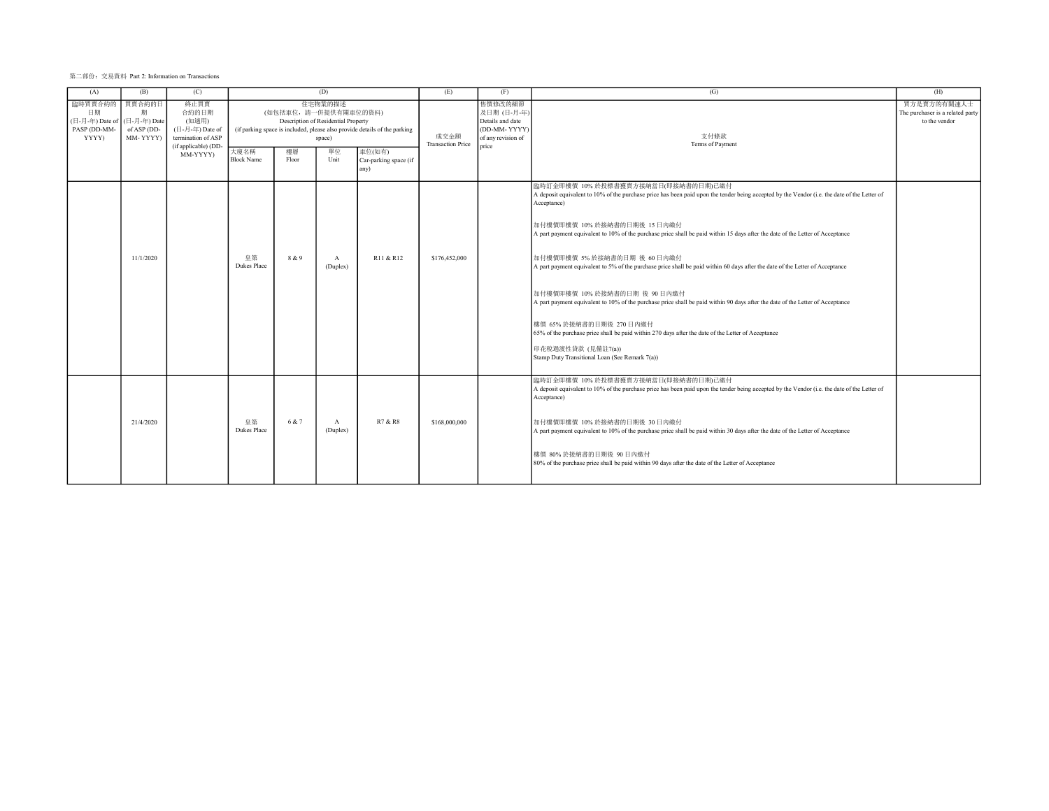| 第二部份: 交易資料 Part 2: Information on Transactions |  |  |  |
|------------------------------------------------|--|--|--|
|------------------------------------------------|--|--|--|

| (A)                                                                          | (B)                          | (C)                                                                                                                       |                           |                                     | (D)                                                                    |                                                                                                                      | (E)                              | (F)                                                                                      | (G)                                                                                                                                                                                                                                                                                                                                                                                                                                                                                                                                                                                                                                                                                                                                                                                                                                                                                                            | (H)                                                              |
|------------------------------------------------------------------------------|------------------------------|---------------------------------------------------------------------------------------------------------------------------|---------------------------|-------------------------------------|------------------------------------------------------------------------|----------------------------------------------------------------------------------------------------------------------|----------------------------------|------------------------------------------------------------------------------------------|----------------------------------------------------------------------------------------------------------------------------------------------------------------------------------------------------------------------------------------------------------------------------------------------------------------------------------------------------------------------------------------------------------------------------------------------------------------------------------------------------------------------------------------------------------------------------------------------------------------------------------------------------------------------------------------------------------------------------------------------------------------------------------------------------------------------------------------------------------------------------------------------------------------|------------------------------------------------------------------|
| 臨時買賣合約的 買賣合約的日<br>日期<br>(日-月-年) Date of (日-月-年) Date<br>PASP (DD-MM<br>YYYY) | 期<br>of ASP (DD-<br>MM-YYYY) | 終止買賣<br>合約的日期<br>(如適用)<br>$(\Box - \Box - \not\equiv -$ Date of<br>termination of ASP<br>(if applicable) (DD-<br>MM-YYYY) | 大廈名稱<br><b>Block Name</b> | (如包括車位,請一併提供有關車位的資料)<br>樓層<br>Floor | 住宅物業的描述<br>Description of Residential Property<br>space)<br>單位<br>Unit | (if parking space is included, please also provide details of the parking<br>車位(如有)<br>Car-parking space (if<br>any) | 成交金額<br><b>Transaction Price</b> | 售價修改的細節<br>及日期(日-月-年)<br>Details and date<br>(DD-MM-YYYY)<br>of any revision of<br>price | 支付條款<br>Terms of Payment                                                                                                                                                                                                                                                                                                                                                                                                                                                                                                                                                                                                                                                                                                                                                                                                                                                                                       | 買方是賣方的有關連人士<br>The purchaser is a related party<br>to the vendor |
|                                                                              | 11/1/2020                    |                                                                                                                           | 皇第<br><b>Dukes Place</b>  | 8 & 9                               | $\mathbf{A}$<br>(Duplex)                                               | R11 & R12                                                                                                            | \$176,452,000                    |                                                                                          | 臨時訂金即樓價 10%於投標書獲賣方接納當日(即接納書的日期)已繳付<br>A deposit equivalent to 10% of the purchase price has been paid upon the tender being accepted by the Vendor (i.e. the date of the Letter of<br>Acceptance)<br>加付樓價即樓價 10% 於接納書的日期後 15日内缴付<br>A part payment equivalent to 10% of the purchase price shall be paid within 15 days after the date of the Letter of Acceptance<br>加付樓價即樓價 5% 於接納書的日期 後 60日内缴付<br>A part payment equivalent to 5% of the purchase price shall be paid within 60 days after the date of the Letter of Acceptance<br>加付樓價即樓價 10% 於接納書的日期 後 90日內繳付<br>A part payment equivalent to 10% of the purchase price shall be paid within 90 days after the date of the Letter of Acceptance<br>樓價 65% 於接納書的日期後 270 日內繳付<br>65% of the purchase price shall be paid within 270 days after the date of the Letter of Acceptance<br>印花稅過渡性貸款 (見備註7(a))<br>Stamp Duty Transitional Loan (See Remark 7(a)) |                                                                  |
|                                                                              | 21/4/2020                    |                                                                                                                           | 皇第<br><b>Dukes Place</b>  | 6 & 7                               | $\mathbf{A}$<br>(Duplex)                                               | R7 & R8                                                                                                              | \$168,000,000                    |                                                                                          | 臨時訂金即樓價 10%於投標書獲賣方接納當日(即接納書的日期)已繳付<br>A deposit equivalent to 10% of the purchase price has been paid upon the tender being accepted by the Vendor (i.e. the date of the Letter of<br>Acceptance)<br>加付樓價即樓價 10%於接納書的日期後 30日內織付<br>A part payment equivalent to 10% of the purchase price shall be paid within 30 days after the date of the Letter of Acceptance<br>樓價 80% 於接納書的日期後 90日内缴付<br>80% of the purchase price shall be paid within 90 days after the date of the Letter of Acceptance                                                                                                                                                                                                                                                                                                                                                                                                               |                                                                  |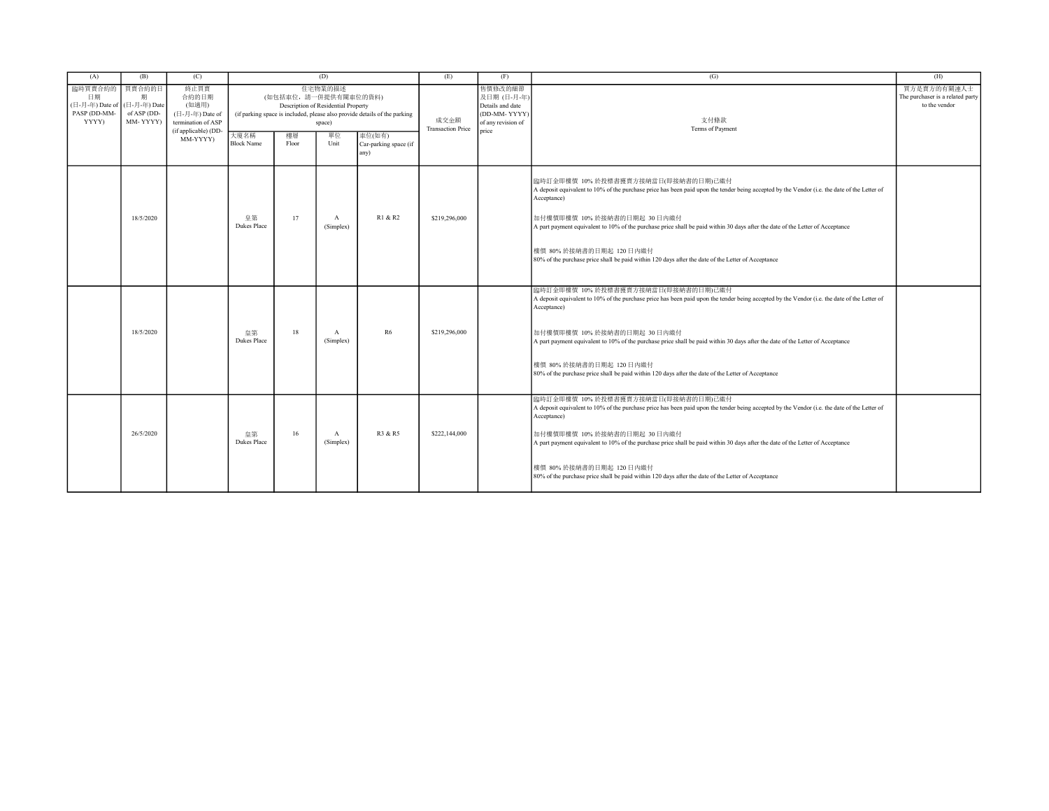| (A)                                                      | (B)                                                    | (C)                                                                                                 |                           |                                     | (D)                                                                    |                                                                                                                      | (E)                              | (F)                                                                                       | (G)                                                                                                                                                                                                                                                                                                                                                                                                                                                                                                   | (H)                                                              |
|----------------------------------------------------------|--------------------------------------------------------|-----------------------------------------------------------------------------------------------------|---------------------------|-------------------------------------|------------------------------------------------------------------------|----------------------------------------------------------------------------------------------------------------------|----------------------------------|-------------------------------------------------------------------------------------------|-------------------------------------------------------------------------------------------------------------------------------------------------------------------------------------------------------------------------------------------------------------------------------------------------------------------------------------------------------------------------------------------------------------------------------------------------------------------------------------------------------|------------------------------------------------------------------|
| 臨時買賣合約的<br>日期<br>(日-月-年) Date of<br>PASP (DD-MM<br>YYYY) | 買賣合約的日<br>期<br>(日-月-年) Date<br>of ASP (DD-<br>MM-YYYY) | 終止買賣<br>合約的日期<br>(如適用)<br>(日-月-年) Date of<br>termination of ASP<br>(if applicable) (DD-<br>MM-YYYY) | 大廈名稱<br><b>Block Name</b> | (如包括車位,請一併提供有關車位的資料)<br>樓層<br>Floor | 住宅物業的描述<br>Description of Residential Property<br>space)<br>單位<br>Unit | (if parking space is included, please also provide details of the parking<br>車位(如有)<br>Car-parking space (if<br>any) | 成交金額<br><b>Transaction Price</b> | 售價修改的細節<br>及日期 (日-月-年)<br>Details and date<br>(DD-MM-YYYY)<br>of any revision of<br>price | 支付條款<br>Terms of Payment                                                                                                                                                                                                                                                                                                                                                                                                                                                                              | 買方是賣方的有關連人士<br>The purchaser is a related party<br>to the vendor |
|                                                          | 18/5/2020                                              |                                                                                                     | 皇第<br><b>Dukes Place</b>  | 17                                  | $\boldsymbol{A}$<br>(Simplex)                                          | R1 & R2                                                                                                              | \$219,296,000                    |                                                                                           | 臨時訂金即樓價 10%於投標書獲賣方接納當日(即接納書的日期)已繳付<br>A deposit equivalent to 10% of the purchase price has been paid upon the tender being accepted by the Vendor (i.e. the date of the Letter of<br>Acceptance)<br>加付樓價即樓價 10%於接納書的日期起 30日內缴付<br>A part payment equivalent to 10% of the purchase price shall be paid within 30 days after the date of the Letter of Acceptance<br>樓價 80% 於接納書的日期起 120 日內繳付<br>80% of the purchase price shall be paid within 120 days after the date of the Letter of Acceptance   |                                                                  |
|                                                          | 18/5/2020                                              |                                                                                                     | 皇第<br><b>Dukes Place</b>  | 18                                  | $\mathbf{A}$<br>(Simplex)                                              | R6                                                                                                                   | \$219,296,000                    |                                                                                           | 臨時訂金即樓價 10%於投標書獲賣方接納當日(即接納書的日期)已繳付<br>A deposit equivalent to 10% of the purchase price has been paid upon the tender being accepted by the Vendor (i.e. the date of the Letter of<br>Acceptance)<br>加付樓價即樓價 10% 於接納書的日期起 30日內織付<br>A part payment equivalent to 10% of the purchase price shall be paid within 30 days after the date of the Letter of Acceptance<br>樓價 80% 於接納書的日期起 120 日內繳付<br>80% of the purchase price shall be paid within 120 days after the date of the Letter of Acceptance  |                                                                  |
|                                                          | 26/5/2020                                              |                                                                                                     | 皇第<br><b>Dukes Place</b>  | 16                                  | $\mathbf{A}$<br>(Simplex)                                              | R3 & R5                                                                                                              | \$222,144,000                    |                                                                                           | 臨時訂金即樓價 10%於投標書獲賣方接納當日(即接納書的日期)己繳付<br>A deposit equivalent to 10% of the purchase price has been paid upon the tender being accepted by the Vendor (i.e. the date of the Letter of<br>Acceptance)<br>加付樓價即樓價 10% 於接納書的日期起 30 日內繳付<br>A part payment equivalent to 10% of the purchase price shall be paid within 30 days after the date of the Letter of Acceptance<br>樓價 80% 於接納書的日期起 120 日內繳付<br>80% of the purchase price shall be paid within 120 days after the date of the Letter of Acceptance |                                                                  |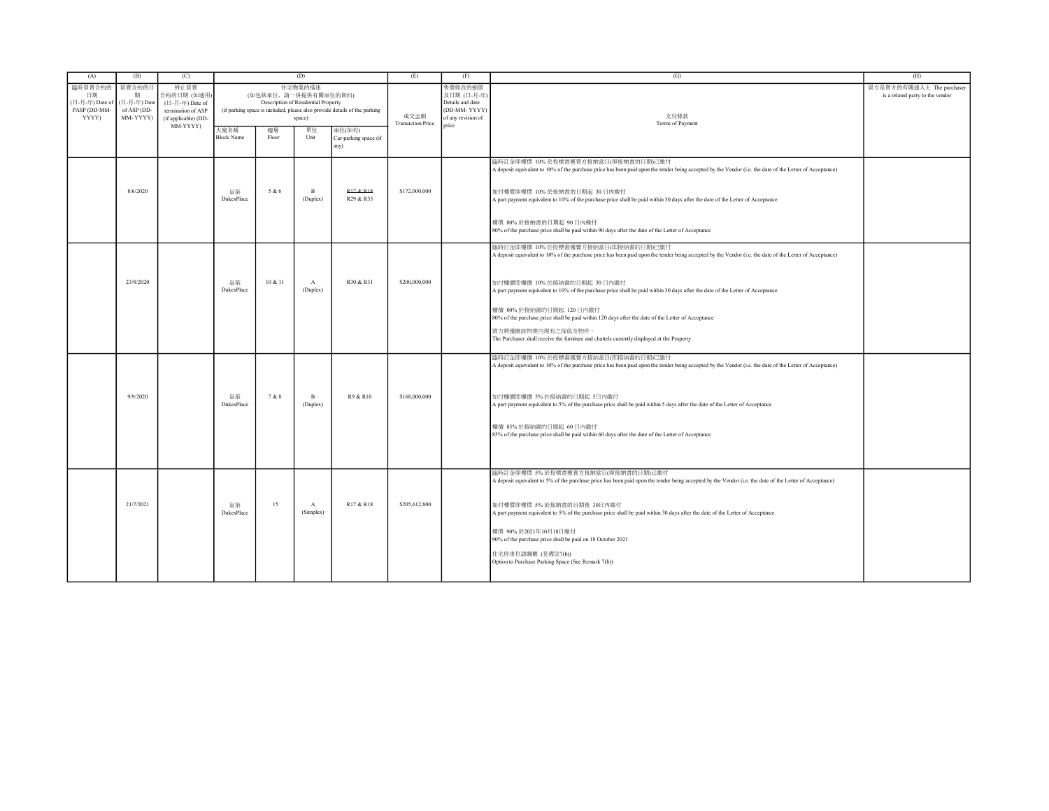| (A)                                                       | (B)                                                    | (C)                                                                                  | (D)                       |                      | (E)                                                      | (F)                                                                       | (G)                              | (H)                                                                              |                                                                                                                                                                                                                                                                                                                                                                   |                                                               |
|-----------------------------------------------------------|--------------------------------------------------------|--------------------------------------------------------------------------------------|---------------------------|----------------------|----------------------------------------------------------|---------------------------------------------------------------------------|----------------------------------|----------------------------------------------------------------------------------|-------------------------------------------------------------------------------------------------------------------------------------------------------------------------------------------------------------------------------------------------------------------------------------------------------------------------------------------------------------------|---------------------------------------------------------------|
| 臨時買賣合約的<br>日期<br>(日-月-年) Date of<br>PASP (DD-MM-<br>YYYY) | 買賣合約的日<br>期<br>(日-月-年) Date<br>of ASP (DD-<br>MM-YYYY) | 終止買賣<br>合約的日期 (如適用)<br>(日-月-年) Date of<br>termination of ASP<br>(if applicable) (DD- |                           | (如包括車位,請一併提供有關車位的資料) | 住宅物業的描述<br>Description of Residential Property<br>space) | (if parking space is included, please also provide details of the parking | 成交金額<br><b>Transaction Price</b> | 售價修改的細節<br>及日期 (日-月-年)<br>Details and date<br>(DD-MM-YYYY)<br>of any revision of | 支付條款<br>Terms of Payment                                                                                                                                                                                                                                                                                                                                          | 買方是賣方的有關連人士 The purchaser<br>is a related party to the vendor |
|                                                           |                                                        | MM-YYYY)                                                                             | 大廈名稱<br><b>Block Name</b> | 樓層<br>Floor          | 單位<br>Unit                                               | 車位(如有)<br>Car-parking space (if<br>any)                                   |                                  | price                                                                            |                                                                                                                                                                                                                                                                                                                                                                   |                                                               |
|                                                           | 8/6/2020                                               |                                                                                      | 皇第<br><b>DukesPlace</b>   | 5 & 6                | $\mathbf{B}$<br>(Duplex)                                 | <b>R17 &amp; R18</b><br>R29 & R35                                         | \$172,000,000                    |                                                                                  | 臨時訂金即樓價 10% 於投標書獲賣方接納當日(即接納書的日期)己織付<br>A deposit equivalent to 10% of the purchase price has been paid upon the tender being accepted by the Vendor (i.e. the date of the Letter of Acceptance)<br>加付樓價即樓價 10% 於接納書的日期起 30 日內織付<br>A part payment equivalent to 10% of the purchase price shall be paid within 30 days after the date of the Letter of Acceptance |                                                               |
|                                                           |                                                        |                                                                                      |                           |                      |                                                          |                                                                           |                                  |                                                                                  | 樓價 80%於接納書的日期起 90日內織付<br>80% of the purchase price shall be paid within 90 days after the date of the Letter of Acceptance                                                                                                                                                                                                                                        |                                                               |
|                                                           |                                                        |                                                                                      |                           |                      |                                                          |                                                                           |                                  |                                                                                  | 臨時訂金即樓價 10% 於投標書獲賣方接納當日(即接納書的日期)已繳付<br>A deposit equivalent to 10% of the purchase price has been paid upon the tender being accepted by the Vendor (i.e. the date of the Letter of Acceptance)                                                                                                                                                                   |                                                               |
|                                                           | 23/8/2020                                              |                                                                                      | 皇第<br>DukesPlace          | 10 & 11              | $\mathbf{A}$<br>(Duplex)                                 | R30 & R31                                                                 | \$200,000,000                    |                                                                                  | 加付樓價即樓價 10% 於接納書的日期起 30 日内繳付<br>A part payment equivalent to 10% of the purchase price shall be paid within 30 days after the date of the Letter of Acceptance                                                                                                                                                                                                    |                                                               |
|                                                           |                                                        |                                                                                      |                           |                      |                                                          |                                                                           |                                  |                                                                                  | 樓價 80%於接納書的日期起 120日內繳付<br>80% of the purchase price shall be paid within 120 days after the date of the Letter of Acceptance<br>買方將獲贈該物業內現有之傢俱及物件。                                                                                                                                                                                                                |                                                               |
|                                                           |                                                        |                                                                                      |                           |                      |                                                          |                                                                           |                                  |                                                                                  | The Purchaser shall receive the furniture and chattels currently displayed at the Property                                                                                                                                                                                                                                                                        |                                                               |
|                                                           | 9/9/2020                                               |                                                                                      | 皇第<br>DukesPlace          | 7 & 8                | $\, {\bf B}$<br>(Duplex)                                 | R9 & R10                                                                  | \$168,000,000                    |                                                                                  | 臨時訂金即樓價 10% 於投標書獲賣方接納當日(即接納書的日期)已繳付<br>A deposit equivalent to 10% of the purchase price has been paid upon the tender being accepted by the Vendor (i.e. the date of the Letter of Acceptance)<br>加付樓價即樓價 5% 於接納書的日期起 5日內繳付<br>A part payment equivalent to 5% of the purchase price shall be paid within 5 days after the date of the Letter of Acceptance      |                                                               |
|                                                           |                                                        |                                                                                      |                           |                      |                                                          |                                                                           |                                  |                                                                                  | 樓價 85%於接納書的日期起 60日內繳付<br>85% of the purchase price shall be paid within 60 days after the date of the Letter of Acceptance                                                                                                                                                                                                                                        |                                                               |
|                                                           |                                                        |                                                                                      |                           |                      |                                                          |                                                                           |                                  |                                                                                  | 臨時訂金即樓價 5% 於投標書獲賣方接納當日(即接納書的日期)己織付<br>A deposit equivalent to 5% of the purchase price has been paid upon the tender being accepted by the Vendor (i.e. the date of the Letter of Acceptance)                                                                                                                                                                     |                                                               |
|                                                           | 21/7/2021                                              |                                                                                      | 皇第<br>DukesPlace          | 15                   | $\,$ A<br>(Simplex)                                      | R17 & R18                                                                 | \$205,612,800                    |                                                                                  | 加付樓價即樓價 5% 於接納書的日期後 30日內織付<br>A part payment equivalent to 5% of the purchase price shall be paid within 30 days after the date of the Letter of Acceptance                                                                                                                                                                                                       |                                                               |
|                                                           |                                                        |                                                                                      |                           |                      |                                                          |                                                                           |                                  |                                                                                  | 樓價 90% 於2021年10月18日繳付<br>90% of the purchase price shall be paid on 18 October 2021<br>住宅停車位認購權 (見備註7(b))<br>Option to Purchase Parking Space (See Remark 7(b))                                                                                                                                                                                                   |                                                               |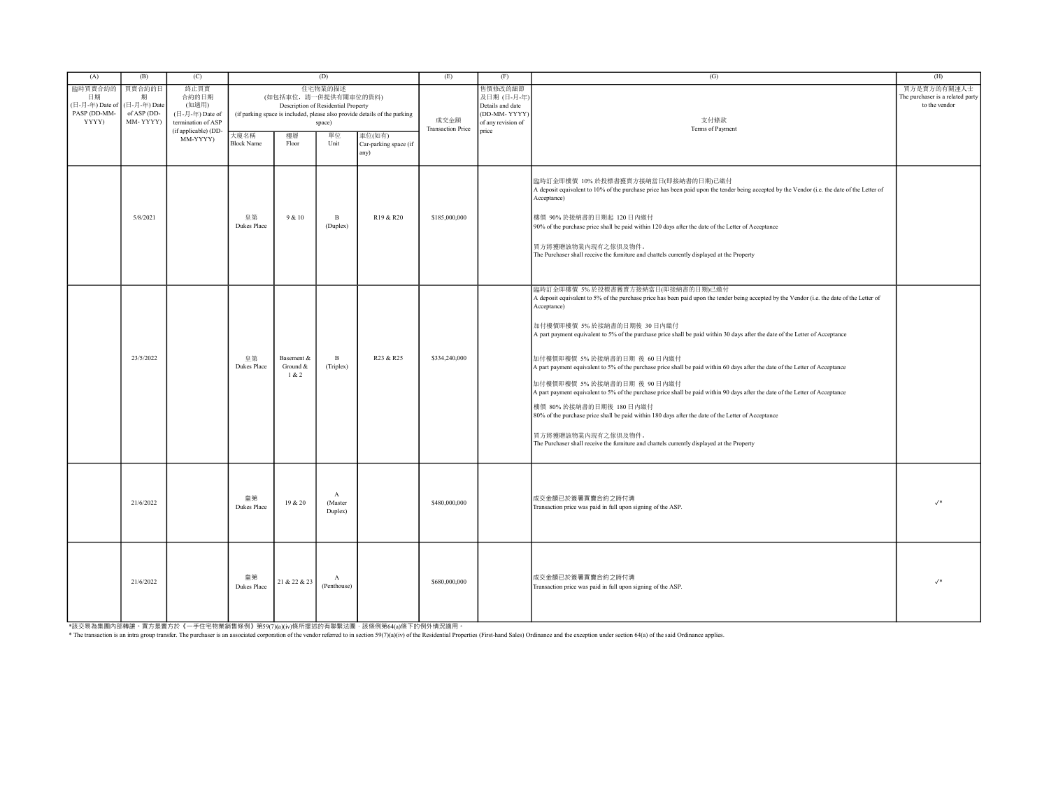| (A)                                                       | (B)                                                    | (C)                                                                                                                       | (D)                                                                                                                                                           |                                 |                                    |                                         | (E)                              | (F)                                                                                      | (G)                                                                                                                                                                                                                                                                                                                                                                                                                                                                                                                                                                                                                                                                                                                                                                                                                                                                                                                                                 | (H)                                                              |
|-----------------------------------------------------------|--------------------------------------------------------|---------------------------------------------------------------------------------------------------------------------------|---------------------------------------------------------------------------------------------------------------------------------------------------------------|---------------------------------|------------------------------------|-----------------------------------------|----------------------------------|------------------------------------------------------------------------------------------|-----------------------------------------------------------------------------------------------------------------------------------------------------------------------------------------------------------------------------------------------------------------------------------------------------------------------------------------------------------------------------------------------------------------------------------------------------------------------------------------------------------------------------------------------------------------------------------------------------------------------------------------------------------------------------------------------------------------------------------------------------------------------------------------------------------------------------------------------------------------------------------------------------------------------------------------------------|------------------------------------------------------------------|
| 臨時買賣合約的<br>日期<br>(日-月-年) Date of<br>PASP (DD-MM-<br>YYYY) | 買賣合約的日<br>期<br>(日-月-年) Date<br>of ASP (DD-<br>MM-YYYY) | 終止買賣<br>合約的日期<br>(如適用)<br>$(\Box - \Box - \not\exists \Box - \Box)$ Date of<br>termination of ASP<br>(if applicable) (DD- | 住宅物業的描述<br>(如包括車位,請一併提供有關車位的資料)<br>Description of Residential Property<br>(if parking space is included, please also provide details of the parking<br>space) |                                 |                                    |                                         | 成交金額<br><b>Transaction Price</b> | 售價修改的細節<br>及日期 (日-月-年)<br>Details and date<br>(DD-MM-YYYY<br>of any revision of<br>price | 支付條款<br>Terms of Payment                                                                                                                                                                                                                                                                                                                                                                                                                                                                                                                                                                                                                                                                                                                                                                                                                                                                                                                            | 買方是賣方的有關連人士<br>The purchaser is a related party<br>to the vendor |
|                                                           |                                                        | MM-YYYY)                                                                                                                  | 大廈名稱<br><b>Block Name</b>                                                                                                                                     | 樓層<br>Floor                     | 單位<br>Unit                         | 車位(如有)<br>Car-parking space (if<br>any) |                                  |                                                                                          |                                                                                                                                                                                                                                                                                                                                                                                                                                                                                                                                                                                                                                                                                                                                                                                                                                                                                                                                                     |                                                                  |
|                                                           | 5/8/2021                                               |                                                                                                                           | 皇第<br><b>Dukes Place</b>                                                                                                                                      | 9 & 10                          | $\mathbf{B}$<br>(Duplex)           | R19 & R20                               | \$185,000,000                    |                                                                                          | 臨時訂金即樓價 10%於投標書獲賣方接納當日(即接納書的日期)已繳付<br>A deposit equivalent to 10% of the purchase price has been paid upon the tender being accepted by the Vendor (i.e. the date of the Letter of<br>Acceptance)<br>樓價 90% 於接納書的日期起 120 日內繳付<br>90% of the purchase price shall be paid within 120 days after the date of the Letter of Acceptance<br>買方將獲贈該物業內現有之傢俱及物件。<br>The Purchaser shall receive the furniture and chattels currently displayed at the Property                                                                                                                                                                                                                                                                                                                                                                                                                                                                                             |                                                                  |
|                                                           | 23/5/2022                                              |                                                                                                                           | 皇第<br><b>Dukes Place</b>                                                                                                                                      | Basement &<br>Ground &<br>1 & 2 | $\mathbf{B}$<br>(Triplex)          | R <sub>23</sub> & R <sub>25</sub>       | \$334,240,000                    |                                                                                          | 臨時訂金即樓價 5% 於投標書獲賣方接納當日(即接納書的日期)已繳付<br>A deposit equivalent to 5% of the purchase price has been paid upon the tender being accepted by the Vendor (i.e. the date of the Letter of<br>Acceptance)<br>加付樓價即樓價 5% 於接納書的日期後 30日内繳付<br>A part payment equivalent to 5% of the purchase price shall be paid within 30 days after the date of the Letter of Acceptance<br>加付樓價即樓價 5%於接納書的日期 後 60日內繳付<br>A part payment equivalent to 5% of the purchase price shall be paid within 60 days after the date of the Letter of Acceptance<br>加付樓價即樓價 5% 於接納書的日期 後 90日内繳付<br>A part payment equivalent to 5% of the purchase price shall be paid within 90 days after the date of the Letter of Acceptance<br>樓價 80% 於接納書的日期後 180日內繳付<br>80% of the purchase price shall be paid within 180 days after the date of the Letter of Acceptance<br>買方將獲贈該物業內現有之傢俱及物件。<br>The Purchaser shall receive the furniture and chattels currently displayed at the Property |                                                                  |
|                                                           | 21/6/2022                                              |                                                                                                                           | 皇第<br><b>Dukes Place</b>                                                                                                                                      | 19 & 20                         | $\mathbf{A}$<br>(Master<br>Duplex) |                                         | \$480,000,000                    |                                                                                          | 成交金額已於簽署買賣合約之時付清<br>Transaction price was paid in full upon signing of the ASP.                                                                                                                                                                                                                                                                                                                                                                                                                                                                                                                                                                                                                                                                                                                                                                                                                                                                     | $\sqrt{*}$                                                       |
|                                                           | 21/6/2022                                              |                                                                                                                           | 皇第<br><b>Dukes Place</b>                                                                                                                                      | 21 & 22 & 23                    | $\mathbf{A}$<br>(Penthouse)        |                                         | \$680,000,000                    |                                                                                          | 成交金額已於簽署買賣合約之時付清<br>Transaction price was paid in full upon signing of the ASP.                                                                                                                                                                                                                                                                                                                                                                                                                                                                                                                                                                                                                                                                                                                                                                                                                                                                     | $\sqrt{*}$                                                       |

\*該交易為集團內部轉讓・買方是賣方於《一手住宅物業銷售條例》第59(7)(a)(iv)條所提述的有聯繫法團‧該條例第64(a)條下的例外情況適用。<br>\* The transaction is an intra group transfer. The purchaser is an associated corporation of the vendor referred to in section 59(7)(a)(iv) of the R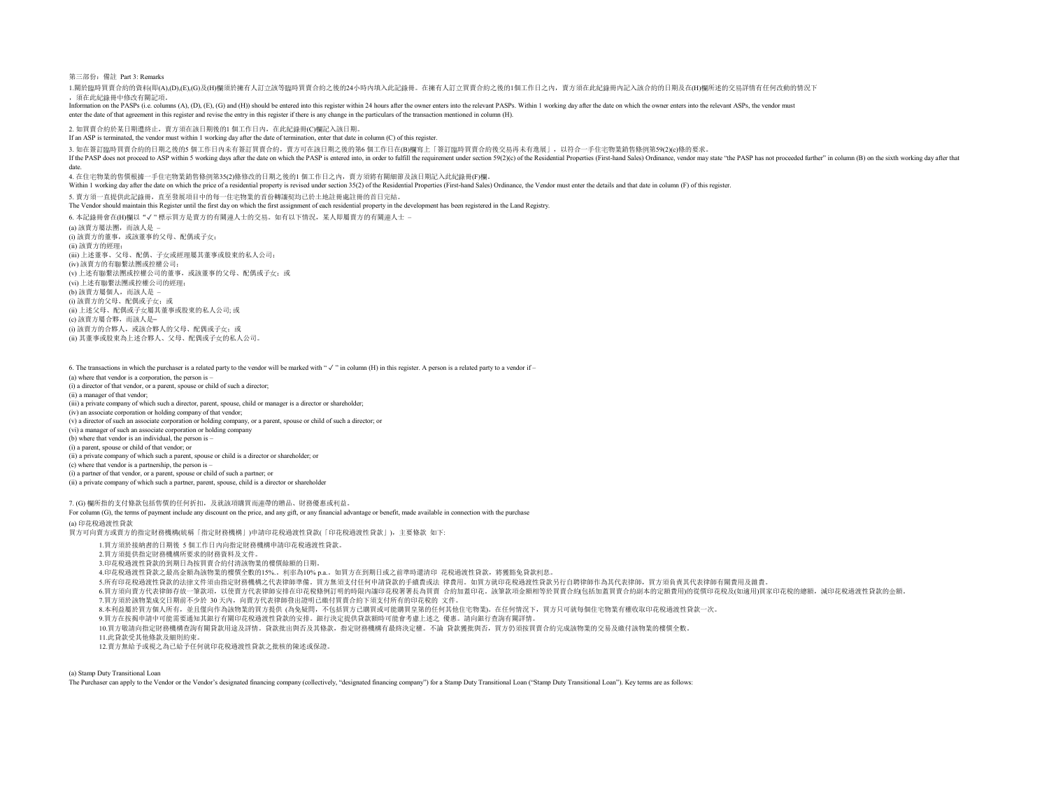第三部份:備註 Part 3: Remarks

1.關於臨時買賣合約的資料(即(A),(D),(E),(G)及(H)欄須於擁有人訂立該等臨時買賣合約之後的24小時內填入此記錄冊。在擁有人訂立買賣合約之後的1個工作日之內,賣方須在此紀錄冊內記入該合約的日期及在(H)欄所述的交易詳情有任何改動的情況下 ,須在此紀錄冊中修改有關記項。

Information on the PASPs (i.e. columns (A), (D), (E), (G) and (H)) should be entered into this register within 24 hours after the owner enters into the relevant PASPs. Within 1 working day after the date on which the owner enter the date of that agreement in this register and revise the entry in this register if there is any change in the particulars of the transaction mentioned in column (H).

2. 如買賣合約於某日期遭終止,賣方須在該日期後的1 個工作日內,在此紀錄冊(C)欄記入該日期。

If an ASP is terminated, the vendor must within 1 working day after the date of termination, enter that date in column (C) of this register.

3. 如在簽訂臨時買賣合約的日期之後的5 個工作日內未有簽訂買賣合約,賣方可在該日期之後的第6 個工作日在(B)欄寫上「簽訂臨時買賣合約後交易再未有進展」,以符合一手住宅物業銷售條例第59(2)(c)條的要求。

If the PASP does not proceed to ASP within 5 working days after the date on which the PASP is entered into, in order to fulfill the requirement under section 59(2)(c) of the Residential Properties (First-hand Sales) Ordina

date. 4. 在住宅物業的售價根據一手住宅物業銷售條例第35(2)條修改的日期之後的1 個工作日之內,賣方須將有關細節及該日期記入此紀錄冊(F)欄。

Within 1 working day after the date on which the price of a residential property is revised under section 35(2) of the Residential Properties (First-hand Sales) Ordinance, the Vendor must enter the details and that date in

5. 賣方須一直提供此記錄冊,直至發展項目中的每一住宅物業的首份轉讓契均已於土地註冊處註冊的首日完結。

The Vendor should maintain this Register until the first day on which the first assignment of each residential property in the development has been registered in the Land Registry.

6. 本記錄冊會在(H)欄以"✓ " 標示買方是賣方的有關連人士的交易。如有以下情況,某人即屬賣方的有關連人士 – (a) 該賣方屬法團,而該人是 – (i) 該賣方的董事,或該董事的父母、配偶或子女; (ii) 該賣方的經理; (iii) 上述董事、父母、配偶、子女或經理屬其董事或股東的私人公司; (iv) 該賣方的有聯繫法團或控權公司; (v) 上述有聯繫法團或控權公司的董事,或該董事的父母、配偶或子女;或 (vi) 上述有聯繫法團或控權公司的經理; (b) 該賣方屬個人,而該人是 – (i) 該賣方的父母、配偶或子女;或 (ii) 上述父母、配偶或子女屬其董事或股東的私人公司; 或 (c) 該賣方屬合夥,而該人是– (i) 該賣方的合夥人,或該合夥人的父母、配偶或子女;或 (ii) 其董事或股東為上述合夥人、父母、配偶或子女的私人公司。

6. The transactions in which the purchaser is a related party to the vendor will be marked with " $\checkmark$ " in column (H) in this register. A person is a related party to a vendor if-(a) where that vendor is a corporation, the person is – (i) a director of that vendor, or a parent, spouse or child of such a director; (ii) a manager of that vendor; (iii) a private company of which such a director, parent, spouse, child or manager is a director or shareholder; (iv) an associate corporation or holding company of that vendor; (v) a director of such an associate corporation or holding company, or a parent, spouse or child of such a director; or (vi) a manager of such an associate corporation or holding company (b) where that vendor is an individual, the person is – (i) a parent, spouse or child of that vendor; or (ii) a private company of which such a parent, spouse or child is a director or shareholder; or (c) where that vendor is a partnership, the person is – (i) a partner of that vendor, or a parent, spouse or child of such a partner; or (ii) a private company of which such a partner, parent, spouse, child is a director or shareholder

7. (G) 欄所指的支付條款包括售價的任何折扣,及就該項購買而連帶的贈品、財務優惠或利益。 For column (G), the terms of payment include any discount on the price, and any gift, or any financial advantage or benefit, made available in connection with the purchase

(a) 印花稅過渡性貸款

買方可向賣方或賣方的指定財務機構(統稱「指定財務機構」)申請印花稅過渡性貸款(「印花稅過渡性貸款」),主要條款 如下:

1.買方須於接納書的日期後 5 個工作日內向指定財務機構申請印花稅過渡性貸款。

2.買方須提供指定財務機構所要求的財務資料及文件。

3.印花稅過渡性貸款的到期日為按買賣合約付清該物業的樓價餘額的日期。

4.印花稅過渡性貸款之最高金額為該物業的樓價全數的15%.。利率為10% p.a.。如買方在到期日或之前準時還清印 花稅過渡性貸款,將獲豁免貸款利息。

5.所有印花稅過渡性貸款的法律文件須由指定財務機構之代表律師準備。買方無須支付任何申請貸款的手續費或法 律費用。如買方就印花稅過渡性貸款另行自聘律師作為其代表律師,買方須負責其代表律師有關費用及雜費。

6.買方須向賣方代表律師存放一筆款項,以使賣方代表律師安排在印花稅條例訂明的時限內讓印花稅署署長為買賣 合約加蓋印花。該筆款項金額相等於買賣合約20括加蓋買賣合約副本的定額費用)的從價印花稅及(如適用)買家印花稅的總額,減印花稅過渡性貸款的金額。 7.買方須於該物業成交日期前不少於 30 天內,向賣方代表律師發出證明已繳付買賣合約下須支付所有的印花稅的 文件。

8.本利益屬於買方個人所有,並且僅向作為該物業的買方提供 (為免疑問,不包括買方已購買或可能購買皇第的任何其他住宅物業)。在任何情況下,買方只可就每個住宅物業有權收取印花稅過渡性貸款一次。

9.買方在按揭申請中可能需要通知其銀行有關印花稅過渡性貸款的安排。銀行決定提供貸款額時可能會考慮上述之 優惠。請向銀行查詢有關詳情。

10.買方敬請向指定財務機構查詢有關貸款用途及詳情。貸款批出與否及其條款,指定財務機構有最終決定權。不論 貸款獲批與否,買方仍須按買賣合約完成該物業的交易及繳付該物業的樓價全數。

11.此貸款受其他條款及細則約束。

12.賣方無給予或視之為已給予任何就印花稅過渡性貸款之批核的陳述或保證。

(a) Stamp Duty Transitional Loan

The Purchaser can apply to the Vendor or the Vendor's designated financing company (collectively, "designated financing company") for a Stamp Duty Transitional Loan ("Stamp Duty Transitional Loan"). Key terms are as follow